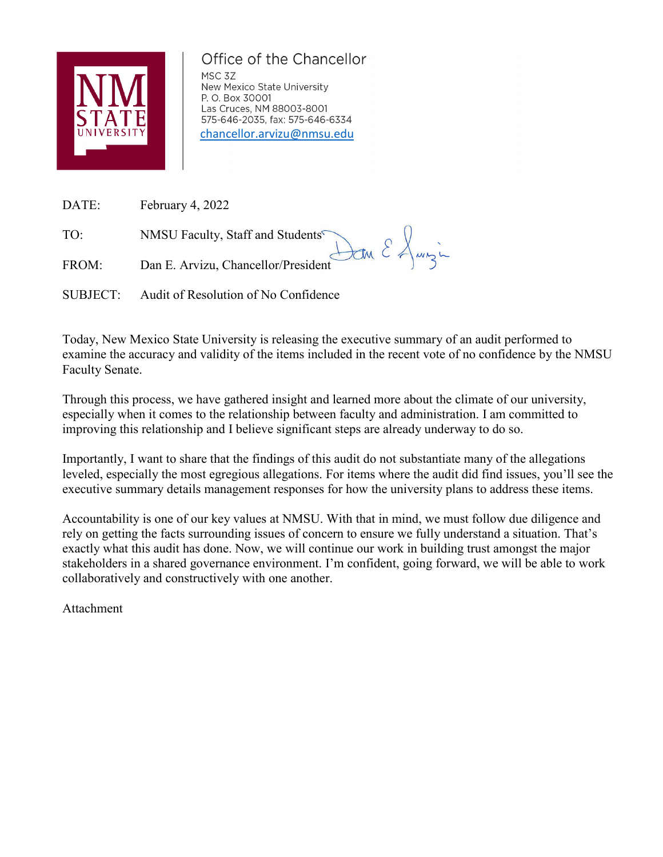

# Office of the Chancellor

MSC 3Z New Mexico State University P. O. Box 30001 Las Cruces, NM 88003-8001 575-646-2035, fax: 575-646-6334 [chancellor.arvizu@nmsu.edu](mailto:chancellor.arvizu@nmsu.edu)

DATE: February 4, 2022

TO: NMSU Faculty, Staff and Students<sup>s</sup>

FROM: Dan E. Arvizu, Chancellor/President

SUBJECT: Audit of Resolution of No Confidence

Today, New Mexico State University is releasing the executive summary of an audit performed to examine the accuracy and validity of the items included in the recent vote of no confidence by the NMSU Faculty Senate.

Jan E Jungin

Through this process, we have gathered insight and learned more about the climate of our university, especially when it comes to the relationship between faculty and administration. I am committed to improving this relationship and I believe significant steps are already underway to do so.

Importantly, I want to share that the findings of this audit do not substantiate many of the allegations leveled, especially the most egregious allegations. For items where the audit did find issues, you'll see the executive summary details management responses for how the university plans to address these items.

Accountability is one of our key values at NMSU. With that in mind, we must follow due diligence and rely on getting the facts surrounding issues of concern to ensure we fully understand a situation. That's exactly what this audit has done. Now, we will continue our work in building trust amongst the major stakeholders in a shared governance environment. I'm confident, going forward, we will be able to work collaboratively and constructively with one another.

Attachment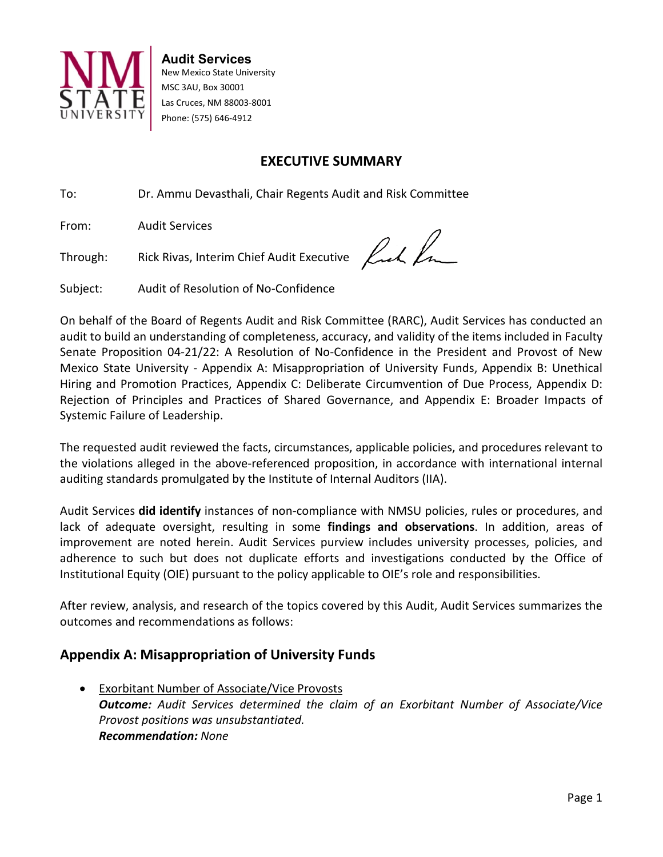

**Audit Services** New Mexico State University MSC 3AU, Box 30001 Las Cruces, NM 88003-8001 Phone: (575) 646-4912

## **EXECUTIVE SUMMARY**

To: Dr. Ammu Devasthali, Chair Regents Audit and Risk Committee

From: Audit Services

Through: Rick Rivas, Interim Chief Audit Executive

fick for

Subject: Audit of Resolution of No-Confidence

On behalf of the Board of Regents Audit and Risk Committee (RARC), Audit Services has conducted an audit to build an understanding of completeness, accuracy, and validity of the items included in Faculty Senate Proposition 04-21/22: A Resolution of No-Confidence in the President and Provost of New Mexico State University - Appendix A: Misappropriation of University Funds, Appendix B: Unethical Hiring and Promotion Practices, Appendix C: Deliberate Circumvention of Due Process, Appendix D: Rejection of Principles and Practices of Shared Governance, and Appendix E: Broader Impacts of Systemic Failure of Leadership.

The requested audit reviewed the facts, circumstances, applicable policies, and procedures relevant to the violations alleged in the above-referenced proposition, in accordance with international internal auditing standards promulgated by the Institute of Internal Auditors (IIA).

Audit Services **did identify** instances of non-compliance with NMSU policies, rules or procedures, and lack of adequate oversight, resulting in some **findings and observations**. In addition, areas of improvement are noted herein. Audit Services purview includes university processes, policies, and adherence to such but does not duplicate efforts and investigations conducted by the Office of Institutional Equity (OIE) pursuant to the policy applicable to OIE's role and responsibilities.

After review, analysis, and research of the topics covered by this Audit, Audit Services summarizes the outcomes and recommendations as follows:

# **Appendix A: Misappropriation of University Funds**

• Exorbitant Number of Associate/Vice Provosts *Outcome: Audit Services determined the claim of an Exorbitant Number of Associate/Vice Provost positions was unsubstantiated. Recommendation: None*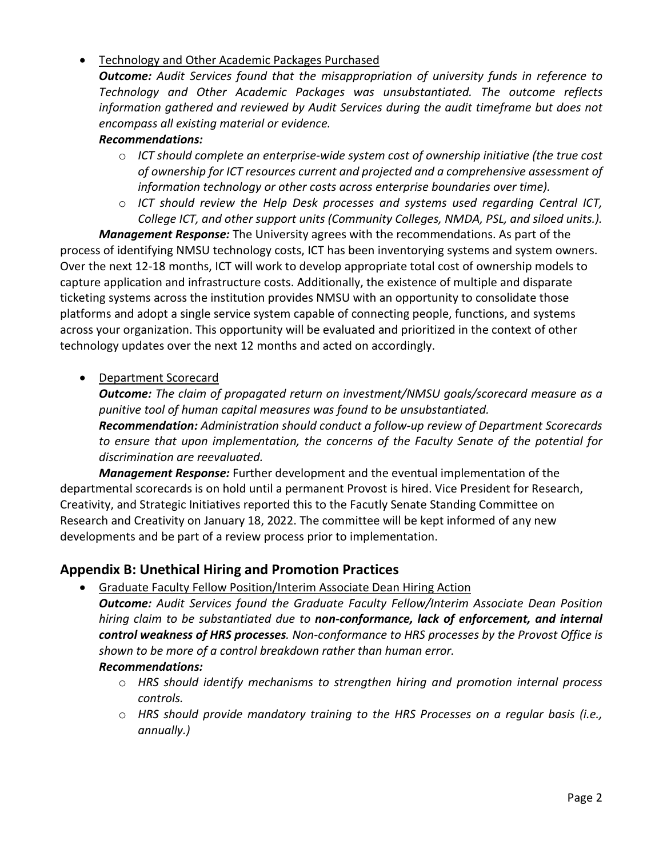#### • Technology and Other Academic Packages Purchased

*Outcome: Audit Services found that the misappropriation of university funds in reference to Technology and Other Academic Packages was unsubstantiated. The outcome reflects information gathered and reviewed by Audit Services during the audit timeframe but does not encompass all existing material or evidence.*

#### *Recommendations:*

- o *ICT should complete an enterprise-wide system cost of ownership initiative (the true cost of ownership for ICT resources current and projected and a comprehensive assessment of information technology or other costs across enterprise boundaries over time).*
- o *ICT should review the Help Desk processes and systems used regarding Central ICT, College ICT, and other support units (Community Colleges, NMDA, PSL, and siloed units.).*

*Management Response:* The University agrees with the recommendations. As part of the process of identifying NMSU technology costs, ICT has been inventorying systems and system owners. Over the next 12-18 months, ICT will work to develop appropriate total cost of ownership models to capture application and infrastructure costs. Additionally, the existence of multiple and disparate ticketing systems across the institution provides NMSU with an opportunity to consolidate those platforms and adopt a single service system capable of connecting people, functions, and systems across your organization. This opportunity will be evaluated and prioritized in the context of other technology updates over the next 12 months and acted on accordingly.

#### • Department Scorecard

*Outcome: The claim of propagated return on investment/NMSU goals/scorecard measure as a punitive tool of human capital measures was found to be unsubstantiated. Recommendation: Administration should conduct a follow-up review of Department Scorecards to ensure that upon implementation, the concerns of the Faculty Senate of the potential for discrimination are reevaluated.*

*Management Response:* Further development and the eventual implementation of the departmental scorecards is on hold until a permanent Provost is hired. Vice President for Research, Creativity, and Strategic Initiatives reported this to the Facutly Senate Standing Committee on Research and Creativity on January 18, 2022. The committee will be kept informed of any new developments and be part of a review process prior to implementation.

## **Appendix B: Unethical Hiring and Promotion Practices**

• Graduate Faculty Fellow Position/Interim Associate Dean Hiring Action

*Outcome: Audit Services found the Graduate Faculty Fellow/Interim Associate Dean Position hiring claim to be substantiated due to non-conformance, lack of enforcement, and internal control weakness of HRS processes. Non-conformance to HRS processes by the Provost Office is shown to be more of a control breakdown rather than human error.*

#### *Recommendations:*

- o *HRS should identify mechanisms to strengthen hiring and promotion internal process controls.*
- o *HRS should provide mandatory training to the HRS Processes on a regular basis (i.e., annually.)*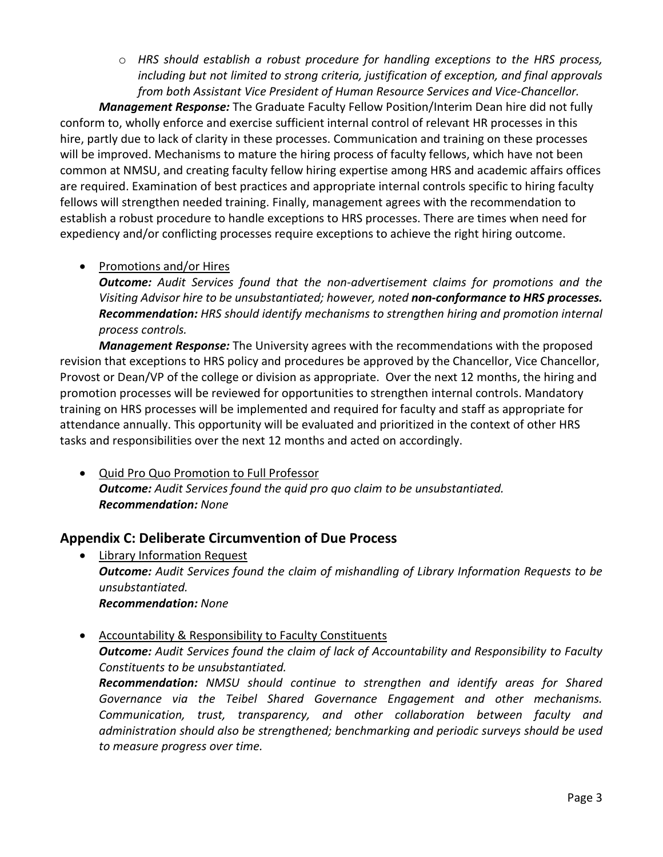o *HRS should establish a robust procedure for handling exceptions to the HRS process, including but not limited to strong criteria, justification of exception, and final approvals from both Assistant Vice President of Human Resource Services and Vice-Chancellor.*

*Management Response:* The Graduate Faculty Fellow Position/Interim Dean hire did not fully conform to, wholly enforce and exercise sufficient internal control of relevant HR processes in this hire, partly due to lack of clarity in these processes. Communication and training on these processes will be improved. Mechanisms to mature the hiring process of faculty fellows, which have not been common at NMSU, and creating faculty fellow hiring expertise among HRS and academic affairs offices are required. Examination of best practices and appropriate internal controls specific to hiring faculty fellows will strengthen needed training. Finally, management agrees with the recommendation to establish a robust procedure to handle exceptions to HRS processes. There are times when need for expediency and/or conflicting processes require exceptions to achieve the right hiring outcome.

#### • Promotions and/or Hires

*Outcome: Audit Services found that the non-advertisement claims for promotions and the Visiting Advisor hire to be unsubstantiated; however, noted non-conformance to HRS processes. Recommendation: HRS should identify mechanisms to strengthen hiring and promotion internal process controls.* 

*Management Response:* The University agrees with the recommendations with the proposed revision that exceptions to HRS policy and procedures be approved by the Chancellor, Vice Chancellor, Provost or Dean/VP of the college or division as appropriate. Over the next 12 months, the hiring and promotion processes will be reviewed for opportunities to strengthen internal controls. Mandatory training on HRS processes will be implemented and required for faculty and staff as appropriate for attendance annually. This opportunity will be evaluated and prioritized in the context of other HRS tasks and responsibilities over the next 12 months and acted on accordingly.

• Quid Pro Quo Promotion to Full Professor *Outcome: Audit Services found the quid pro quo claim to be unsubstantiated. Recommendation: None*

#### **Appendix C: Deliberate Circumvention of Due Process**

- Library Information Request *Outcome: Audit Services found the claim of mishandling of Library Information Requests to be unsubstantiated. Recommendation: None*
- Accountability & Responsibility to Faculty Constituents *Outcome: Audit Services found the claim of lack of Accountability and Responsibility to Faculty Constituents to be unsubstantiated. Recommendation: NMSU should continue to strengthen and identify areas for Shared Governance via the Teibel Shared Governance Engagement and other mechanisms. Communication, trust, transparency, and other collaboration between faculty and administration should also be strengthened; benchmarking and periodic surveys should be used to measure progress over time.*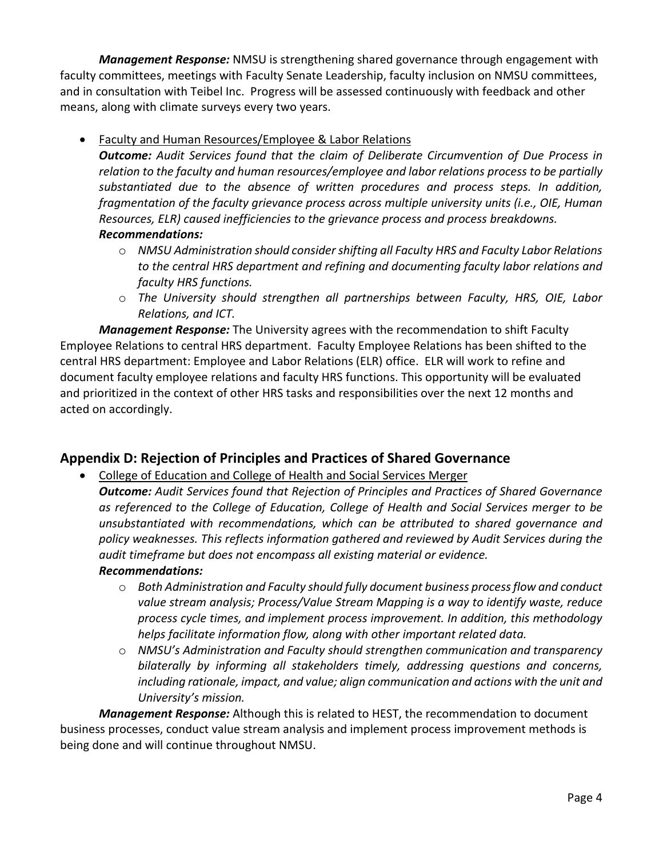*Management Response:* NMSU is strengthening shared governance through engagement with faculty committees, meetings with Faculty Senate Leadership, faculty inclusion on NMSU committees, and in consultation with Teibel Inc. Progress will be assessed continuously with feedback and other means, along with climate surveys every two years.

• Faculty and Human Resources/Employee & Labor Relations

*Outcome: Audit Services found that the claim of Deliberate Circumvention of Due Process in relation to the faculty and human resources/employee and labor relations process to be partially substantiated due to the absence of written procedures and process steps. In addition, fragmentation of the faculty grievance process across multiple university units (i.e., OIE, Human Resources, ELR) caused inefficiencies to the grievance process and process breakdowns. Recommendations:*

- o *NMSU Administration should consider shifting all Faculty HRS and Faculty Labor Relations to the central HRS department and refining and documenting faculty labor relations and faculty HRS functions.*
- o *The University should strengthen all partnerships between Faculty, HRS, OIE, Labor Relations, and ICT.*

*Management Response:* The University agrees with the recommendation to shift Faculty Employee Relations to central HRS department. Faculty Employee Relations has been shifted to the central HRS department: Employee and Labor Relations (ELR) office. ELR will work to refine and document faculty employee relations and faculty HRS functions. This opportunity will be evaluated and prioritized in the context of other HRS tasks and responsibilities over the next 12 months and acted on accordingly.

# **Appendix D: Rejection of Principles and Practices of Shared Governance**

• College of Education and College of Health and Social Services Merger

*Outcome: Audit Services found that Rejection of Principles and Practices of Shared Governance as referenced to the College of Education, College of Health and Social Services merger to be unsubstantiated with recommendations, which can be attributed to shared governance and policy weaknesses. This reflects information gathered and reviewed by Audit Services during the audit timeframe but does not encompass all existing material or evidence.*

# *Recommendations:*

- o *Both Administration and Faculty should fully document business process flow and conduct value stream analysis; Process/Value Stream Mapping is a way to identify waste, reduce process cycle times, and implement process improvement. In addition, this methodology helps facilitate information flow, along with other important related data.*
- o *NMSU's Administration and Faculty should strengthen communication and transparency bilaterally by informing all stakeholders timely, addressing questions and concerns, including rationale, impact, and value; align communication and actions with the unit and University's mission.*

*Management Response:* Although this is related to HEST, the recommendation to document business processes, conduct value stream analysis and implement process improvement methods is being done and will continue throughout NMSU.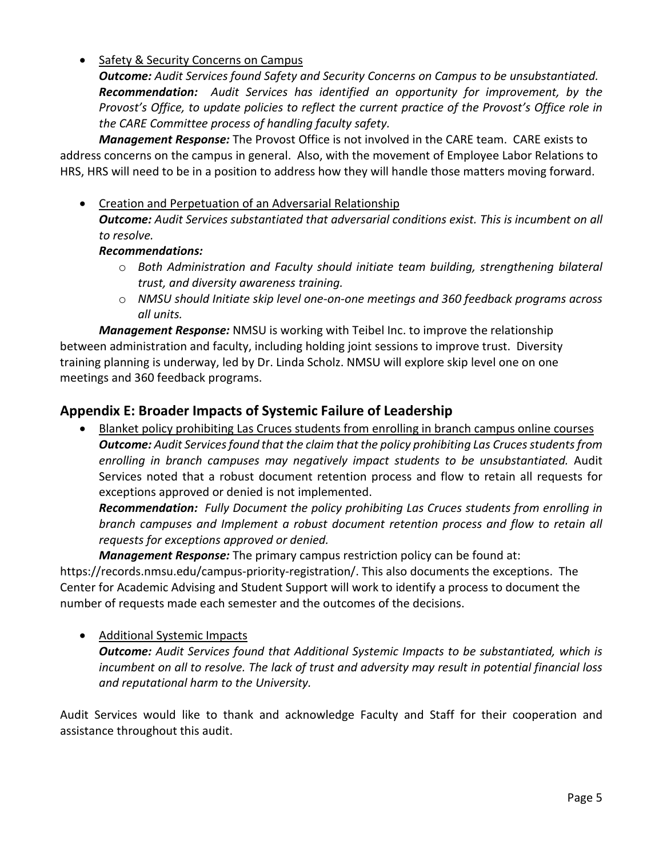#### • Safety & Security Concerns on Campus

*Outcome: Audit Services found Safety and Security Concerns on Campus to be unsubstantiated. Recommendation: Audit Services has identified an opportunity for improvement, by the Provost's Office, to update policies to reflect the current practice of the Provost's Office role in the CARE Committee process of handling faculty safety.*

*Management Response:* The Provost Office is not involved in the CARE team. CARE exists to address concerns on the campus in general. Also, with the movement of Employee Labor Relations to HRS, HRS will need to be in a position to address how they will handle those matters moving forward.

• Creation and Perpetuation of an Adversarial Relationship *Outcome: Audit Services substantiated that adversarial conditions exist. This is incumbent on all to resolve.*

#### *Recommendations:*

- o *Both Administration and Faculty should initiate team building, strengthening bilateral trust, and diversity awareness training.*
- o *NMSU should Initiate skip level one-on-one meetings and 360 feedback programs across all units.*

*Management Response:* NMSU is working with Teibel Inc. to improve the relationship between administration and faculty, including holding joint sessions to improve trust. Diversity training planning is underway, led by Dr. Linda Scholz. NMSU will explore skip level one on one meetings and 360 feedback programs.

## **Appendix E: Broader Impacts of Systemic Failure of Leadership**

Blanket policy prohibiting Las Cruces students from enrolling in branch campus online courses *Outcome: Audit Services found that the claim that the policy prohibiting Las Cruces students from enrolling in branch campuses may negatively impact students to be unsubstantiated.* Audit Services noted that a robust document retention process and flow to retain all requests for exceptions approved or denied is not implemented.

*Recommendation: Fully Document the policy prohibiting Las Cruces students from enrolling in branch campuses and Implement a robust document retention process and flow to retain all requests for exceptions approved or denied.*

*Management Response:* The primary campus restriction policy can be found at:

https://records.nmsu.edu/campus-priority-registration/. This also documents the exceptions. The Center for Academic Advising and Student Support will work to identify a process to document the number of requests made each semester and the outcomes of the decisions.

#### • Additional Systemic Impacts

*Outcome: Audit Services found that Additional Systemic Impacts to be substantiated, which is incumbent on all to resolve. The lack of trust and adversity may result in potential financial loss and reputational harm to the University.*

Audit Services would like to thank and acknowledge Faculty and Staff for their cooperation and assistance throughout this audit.